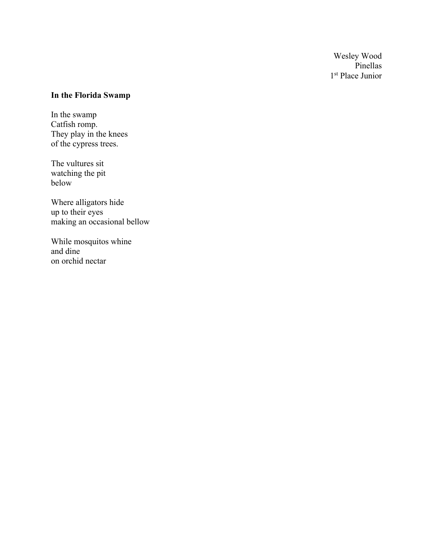Wesley Wood Pinellas 1<sup>st</sup> Place Junior

## **In the Florida Swamp**

In the swamp Catfish romp. They play in the knees of the cypress trees.

The vultures sit watching the pit below

Where alligators hide up to their eyes making an occasional bellow

While mosquitos whine and dine on orchid nectar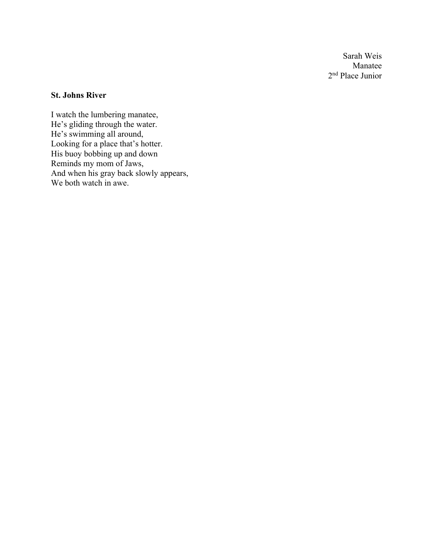Sarah Weis Manatee 2nd Place Junior

## **St. Johns River**

I watch the lumbering manatee, He's gliding through the water. He's swimming all around, Looking for a place that's hotter. His buoy bobbing up and down Reminds my mom of Jaws, And when his gray back slowly appears, We both watch in awe.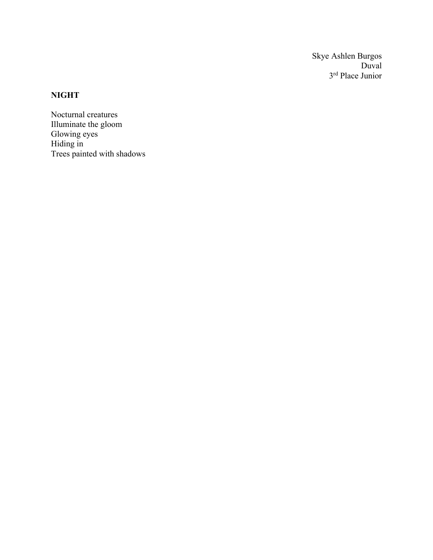Skye Ashlen Burgos Duval 3rd Place Junior

## **NIGHT**

Nocturnal creatures Illuminate the gloom Glowing eyes Hiding in Trees painted with shadows